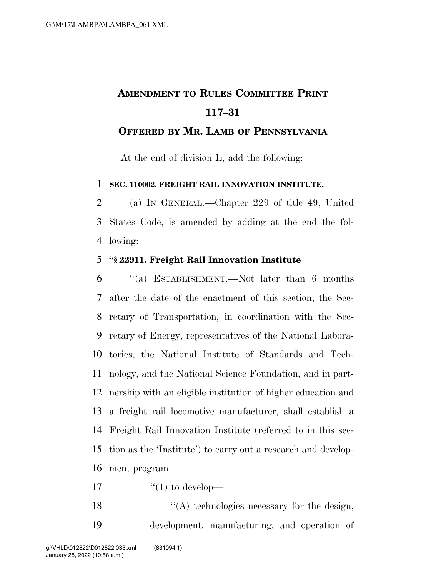## **AMENDMENT TO RULES COMMITTEE PRINT 117–31**

## **OFFERED BY MR. LAMB OF PENNSYLVANIA**

At the end of division L, add the following:

**SEC. 110002. FREIGHT RAIL INNOVATION INSTITUTE.** 

 (a) IN GENERAL.—Chapter 229 of title 49, United States Code, is amended by adding at the end the fol-lowing:

## **''§ 22911. Freight Rail Innovation Institute**

 ''(a) ESTABLISHMENT.—Not later than 6 months after the date of the enactment of this section, the Sec- retary of Transportation, in coordination with the Sec- retary of Energy, representatives of the National Labora- tories, the National Institute of Standards and Tech- nology, and the National Science Foundation, and in part- nership with an eligible institution of higher education and a freight rail locomotive manufacturer, shall establish a Freight Rail Innovation Institute (referred to in this sec- tion as the 'Institute') to carry out a research and develop-ment program—

17  $\frac{1}{2}$   $\frac{1}{2}$  to develop—

 $\mathcal{L}(\mathbf{A})$  technologies necessary for the design, development, manufacturing, and operation of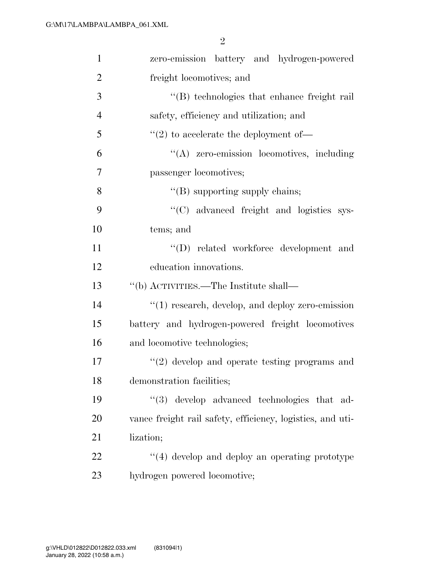| $\mathbf{1}$   | zero-emission battery and hydrogen-powered                 |
|----------------|------------------------------------------------------------|
| $\overline{2}$ | freight locomotives; and                                   |
| 3              | "(B) technologies that enhance freight rail                |
| $\overline{4}$ | safety, efficiency and utilization; and                    |
| 5              | $\lq(2)$ to accelerate the deployment of —                 |
| 6              | "(A) zero-emission locomotives, including                  |
| 7              | passenger locomotives;                                     |
| 8              | $\lq\lq$ supporting supply chains;                         |
| 9              | "(C) advanced freight and logistics sys-                   |
| 10             | tems; and                                                  |
| 11             | "(D) related workforce development and                     |
| 12             | education innovations.                                     |
| 13             | "(b) ACTIVITIES.—The Institute shall—                      |
| 14             | "(1) research, develop, and deploy zero-emission           |
| 15             | battery and hydrogen-powered freight locomotives           |
| 16             | and locomotive technologies;                               |
| 17             | $\lq(2)$ develop and operate testing programs and          |
| 18             | demonstration facilities;                                  |
| 19             | (3)<br>develop advanced technologies that ad-              |
| 20             | vance freight rail safety, efficiency, logistics, and uti- |
| 21             | lization;                                                  |
| 22             | $\lq(4)$ develop and deploy an operating prototype         |
| 23             | hydrogen powered locomotive;                               |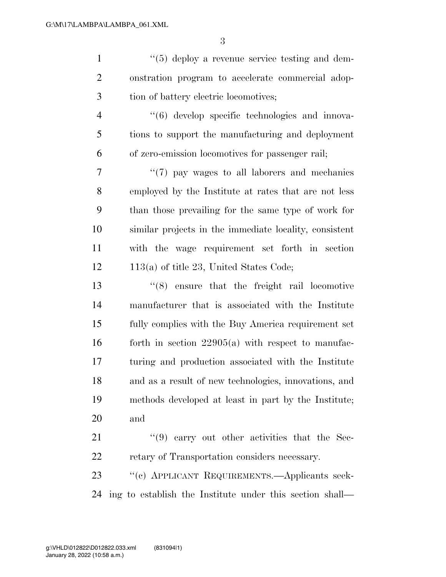1 ''(5) deploy a revenue service testing and dem- onstration program to accelerate commercial adop- tion of battery electric locomotives; ''(6) develop specific technologies and innova- tions to support the manufacturing and deployment of zero-emission locomotives for passenger rail;  $\frac{1}{7}$  (7) pay wages to all laborers and mechanics employed by the Institute at rates that are not less than those prevailing for the same type of work for similar projects in the immediate locality, consistent with the wage requirement set forth in section 12 113(a) of title 23, United States Code; ''(8) ensure that the freight rail locomotive manufacturer that is associated with the Institute fully complies with the Buy America requirement set 16 forth in section  $22905(a)$  with respect to manufac- turing and production associated with the Institute and as a result of new technologies, innovations, and methods developed at least in part by the Institute; and 21 ''(9) carry out other activities that the Sec- retary of Transportation considers necessary. ''(c) APPLICANT REQUIREMENTS.—Applicants seek-

ing to establish the Institute under this section shall—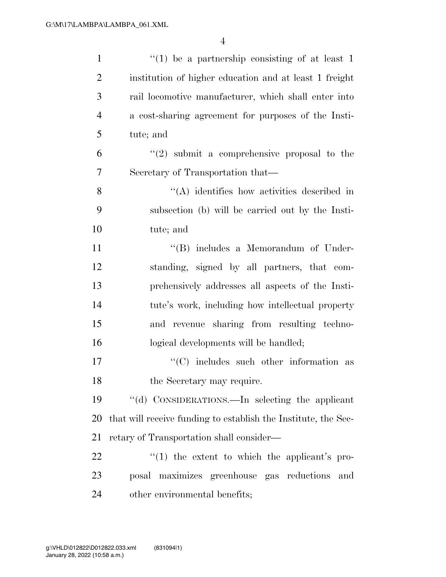| $\mathbf{1}$   | $f'(1)$ be a partnership consisting of at least 1              |
|----------------|----------------------------------------------------------------|
| $\overline{2}$ | institution of higher education and at least 1 freight         |
| 3              | rail locomotive manufacturer, which shall enter into           |
| $\overline{4}$ | a cost-sharing agreement for purposes of the Insti-            |
| 5              | tute; and                                                      |
| 6              | $(2)$ submit a comprehensive proposal to the                   |
| 7              | Secretary of Transportation that—                              |
| 8              | $\lq\lq$ identifies how activities described in                |
| 9              | subsection (b) will be carried out by the Insti-               |
| 10             | tute; and                                                      |
| 11             | "(B) includes a Memorandum of Under-                           |
| 12             | standing, signed by all partners, that com-                    |
| 13             | prehensively addresses all aspects of the Insti-               |
| 14             | tute's work, including how intellectual property               |
| 15             | and revenue sharing from resulting techno-                     |
| 16             | logical developments will be handled;                          |
| 17             | $\cdot$ (C) includes such other information as                 |
| 18             | the Secretary may require.                                     |
| 19             | "(d) CONSIDERATIONS.—In selecting the applicant                |
| 20             | that will receive funding to establish the Institute, the Sec- |
| 21             | retary of Transportation shall consider—                       |
| 22             | $f(1)$ the extent to which the applicant's pro-                |
| 23             | posal maximizes greenhouse gas reductions<br>and               |
| 24             | other environmental benefits;                                  |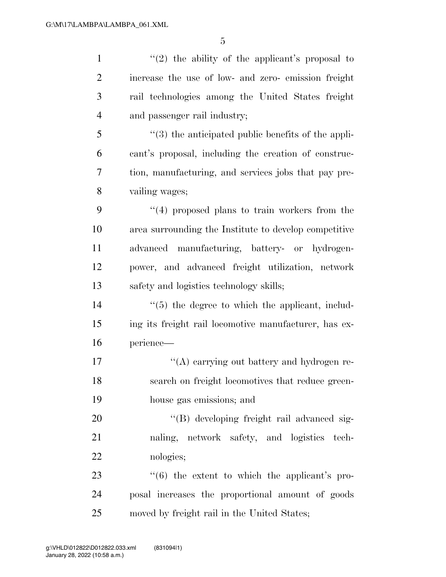$\frac{1}{2}$  the ability of the applicant's proposal to increase the use of low- and zero- emission freight rail technologies among the United States freight and passenger rail industry; ''(3) the anticipated public benefits of the appli- cant's proposal, including the creation of construc- tion, manufacturing, and services jobs that pay pre- vailing wages; ''(4) proposed plans to train workers from the area surrounding the Institute to develop competitive advanced manufacturing, battery- or hydrogen- power, and advanced freight utilization, network safety and logistics technology skills;  $\frac{1}{5}$  the degree to which the applicant, includ- ing its freight rail locomotive manufacturer, has ex- perience—  $\langle (A)$  carrying out battery and hydrogen re- search on freight locomotives that reduce green- house gas emissions; and  $\langle (B) \rangle$  developing freight rail advanced sig- naling, network safety, and logistics tech- nologies;  $\frac{4}{6}$  the extent to which the applicant's pro- posal increases the proportional amount of goods moved by freight rail in the United States;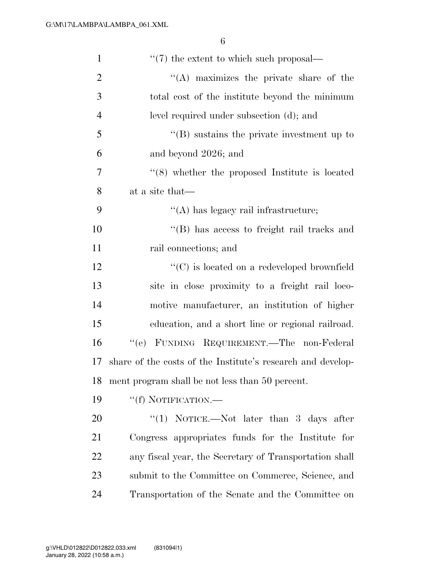| $\mathbf{1}$   | $\cdot\cdot\cdot(7)$ the extent to which such proposal—     |
|----------------|-------------------------------------------------------------|
| $\overline{2}$ | $\lq\lq$ maximizes the private share of the                 |
| 3              | total cost of the institute beyond the minimum              |
| $\overline{4}$ | level required under subsection (d); and                    |
| 5              | $\lq\lq$ sustains the private investment up to              |
| 6              | and beyond 2026; and                                        |
| $\overline{7}$ | $\cdot$ (8) whether the proposed Institute is located       |
| 8              | at a site that—                                             |
| 9              | $\lq\lq$ has legacy rail infrastructure;                    |
| 10             | "(B) has access to freight rail tracks and                  |
| 11             | rail connections; and                                       |
| 12             | $\lq\lq$ (C) is located on a redeveloped brownfield         |
| 13             | site in close proximity to a freight rail loco-             |
| 14             | motive manufacturer, an institution of higher               |
| 15             | education, and a short line or regional railroad.           |
| 16             | "(e) FUNDING REQUIREMENT.—The non-Federal                   |
| 17             | share of the costs of the Institute's research and develop- |
| 18             | ment program shall be not less than 50 percent.             |
| 19             | "(f) NOTIFICATION.-                                         |
| 20             | "(1) NOTICE.—Not later than 3 days after                    |
| 21             | Congress appropriates funds for the Institute for           |
| 22             | any fiscal year, the Secretary of Transportation shall      |
| 23             | submit to the Committee on Commerce, Science, and           |
| 24             | Transportation of the Senate and the Committee on           |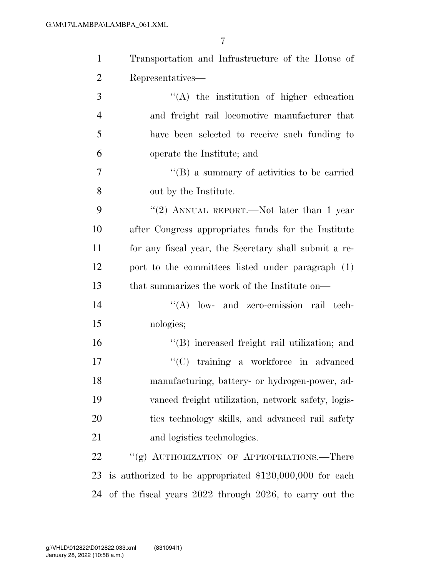| $\mathbf{1}$   | Transportation and Infrastructure of the House of        |
|----------------|----------------------------------------------------------|
| $\overline{2}$ | Representatives—                                         |
| 3              | $\lq\lq$ the institution of higher education             |
| $\overline{4}$ | and freight rail locomotive manufacturer that            |
| 5              | have been selected to receive such funding to            |
| 6              | operate the Institute; and                               |
| 7              | $\lq\lq (B)$ a summary of activities to be carried       |
| 8              | out by the Institute.                                    |
| 9              | "(2) ANNUAL REPORT.—Not later than 1 year                |
| 10             | after Congress appropriates funds for the Institute      |
| 11             | for any fiscal year, the Secretary shall submit a re-    |
| 12             | port to the committees listed under paragraph (1)        |
| 13             | that summarizes the work of the Institute on—            |
| 14             | $\lq\lq$ low- and zero-emission rail tech-               |
| 15             | nologies;                                                |
| 16             | "(B) increased freight rail utilization; and             |
| 17             | "(C) training a workforce in advanced                    |
| 18             | manufacturing, battery- or hydrogen-power, ad-           |
| 19             | vanced freight utilization, network safety, logis-       |
| 20             | ties technology skills, and advanced rail safety         |
| 21             | and logistics technologies.                              |
| 22             | "(g) AUTHORIZATION OF APPROPRIATIONS.—There              |
| 23             | is authorized to be appropriated $$120,000,000$ for each |
| 24             | of the fiscal years 2022 through 2026, to carry out the  |